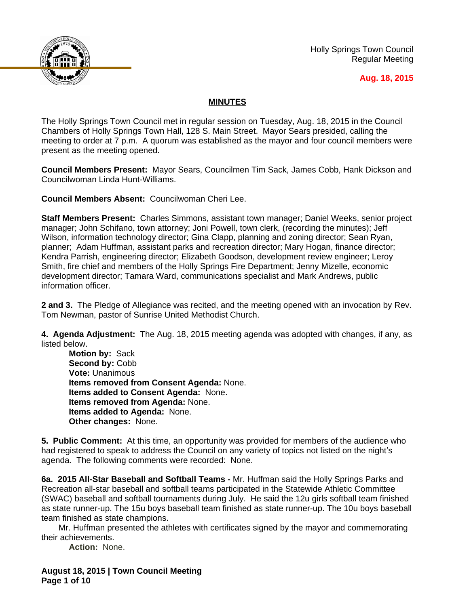

Holly Springs Town Council Regular Meeting

#### **Aug. 18, 2015**

## **MINUTES**

The Holly Springs Town Council met in regular session on Tuesday, Aug. 18, 2015 in the Council Chambers of Holly Springs Town Hall, 128 S. Main Street. Mayor Sears presided, calling the meeting to order at 7 p.m. A quorum was established as the mayor and four council members were present as the meeting opened.

**Council Members Present:** Mayor Sears, Councilmen Tim Sack, James Cobb, Hank Dickson and Councilwoman Linda Hunt-Williams.

**Council Members Absent:** Councilwoman Cheri Lee.

**Staff Members Present:** Charles Simmons, assistant town manager; Daniel Weeks, senior project manager; John Schifano, town attorney; Joni Powell, town clerk, (recording the minutes); Jeff Wilson, information technology director; Gina Clapp, planning and zoning director; Sean Ryan, planner; Adam Huffman, assistant parks and recreation director; Mary Hogan, finance director; Kendra Parrish, engineering director; Elizabeth Goodson, development review engineer; Leroy Smith, fire chief and members of the Holly Springs Fire Department; Jenny Mizelle, economic development director; Tamara Ward, communications specialist and Mark Andrews, public information officer.

**2 and 3.** The Pledge of Allegiance was recited, and the meeting opened with an invocation by Rev. Tom Newman, pastor of Sunrise United Methodist Church.

**4. Agenda Adjustment:** The Aug. 18, 2015 meeting agenda was adopted with changes, if any, as listed below.

**Motion by:** Sack Second by: Cobb **Vote:** Unanimous **Items removed from Consent Agenda:** None. **Items added to Consent Agenda:** None. **Items removed from Agenda:** None. **Items added to Agenda:** None. **Other changes:** None.

**5. Public Comment:** At this time, an opportunity was provided for members of the audience who had registered to speak to address the Council on any variety of topics not listed on the night's agenda. The following comments were recorded: None.

**6a. 2015 All-Star Baseball and Softball Teams -** Mr. Huffman said the Holly Springs Parks and Recreation all-star baseball and softball teams participated in the Statewide Athletic Committee (SWAC) baseball and softball tournaments during July. He said the 12u girls softball team finished as state runner-up. The 15u boys baseball team finished as state runner-up. The 10u boys baseball team finished as state champions.

Mr. Huffman presented the athletes with certificates signed by the mayor and commemorating their achievements.

**Action:** None.

**August 18, 2015 | Town Council Meeting Page 1 of 10**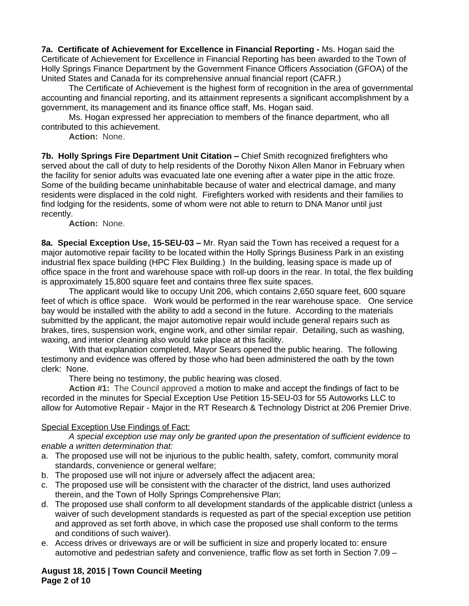**7a. Certificate of Achievement for Excellence in Financial Reporting -** Ms. Hogan said the Certificate of Achievement for Excellence in Financial Reporting has been awarded to the Town of Holly Springs Finance Department by the Government Finance Officers Association (GFOA) of the United States and Canada for its comprehensive annual financial report (CAFR.)

The Certificate of Achievement is the highest form of recognition in the area of governmental accounting and financial reporting, and its attainment represents a significant accomplishment by a government, its management and its finance office staff, Ms. Hogan said.

Ms. Hogan expressed her appreciation to members of the finance department, who all contributed to this achievement.

**Action:** None.

**7b. Holly Springs Fire Department Unit Citation – Chief Smith recognized firefighters who** served about the call of duty to help residents of the Dorothy Nixon Allen Manor in February when the facility for senior adults was evacuated late one evening after a water pipe in the attic froze. Some of the building became uninhabitable because of water and electrical damage, and many residents were displaced in the cold night. Firefighters worked with residents and their families to find lodging for the residents, some of whom were not able to return to DNA Manor until just recently.

**Action:** None.

**8a. Special Exception Use, 15-SEU-03 –** Mr. Ryan said the Town has received a request for a major automotive repair facility to be located within the Holly Springs Business Park in an existing industrial flex space building (HPC Flex Building.) In the building, leasing space is made up of office space in the front and warehouse space with roll-up doors in the rear. In total, the flex building is approximately 15,800 square feet and contains three flex suite spaces.

The applicant would like to occupy Unit 206, which contains 2,650 square feet, 600 square feet of which is office space. Work would be performed in the rear warehouse space. One service bay would be installed with the ability to add a second in the future. According to the materials submitted by the applicant, the major automotive repair would include general repairs such as brakes, tires, suspension work, engine work, and other similar repair. Detailing, such as washing, waxing, and interior cleaning also would take place at this facility.

With that explanation completed, Mayor Sears opened the public hearing. The following testimony and evidence was offered by those who had been administered the oath by the town clerk: None.

There being no testimony, the public hearing was closed.

**Action #1:** The Council approved a motion to make and accept the findings of fact to be recorded in the minutes for Special Exception Use Petition 15-SEU-03 for 55 Autoworks LLC to allow for Automotive Repair - Major in the RT Research & Technology District at 206 Premier Drive.

### Special Exception Use Findings of Fact:

*A special exception use may only be granted upon the presentation of sufficient evidence to enable a written determination that:*

- a. The proposed use will not be injurious to the public health, safety, comfort, community moral standards, convenience or general welfare;
- b. The proposed use will not injure or adversely affect the adjacent area;
- c. The proposed use will be consistent with the character of the district, land uses authorized therein, and the Town of Holly Springs Comprehensive Plan;
- d. The proposed use shall conform to all development standards of the applicable district (unless a waiver of such development standards is requested as part of the special exception use petition and approved as set forth above, in which case the proposed use shall conform to the terms and conditions of such waiver).
- e. Access drives or driveways are or will be sufficient in size and properly located to: ensure automotive and pedestrian safety and convenience, traffic flow as set forth in Section 7.09 –

**August 18, 2015 | Town Council Meeting Page 2 of 10**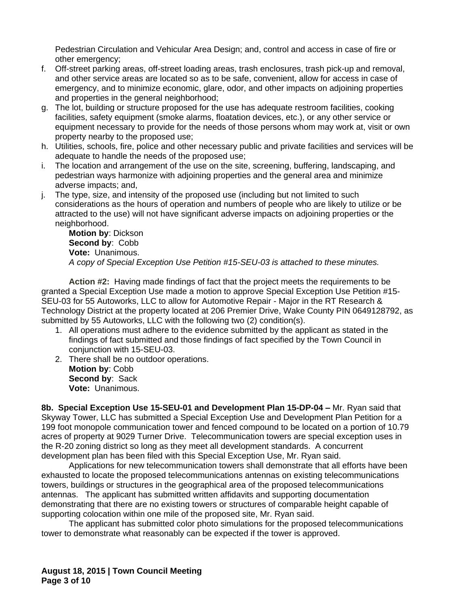Pedestrian Circulation and Vehicular Area Design; and, control and access in case of fire or other emergency;

- f. Off-street parking areas, off-street loading areas, trash enclosures, trash pick-up and removal, and other service areas are located so as to be safe, convenient, allow for access in case of emergency, and to minimize economic, glare, odor, and other impacts on adjoining properties and properties in the general neighborhood;
- g. The lot, building or structure proposed for the use has adequate restroom facilities, cooking facilities, safety equipment (smoke alarms, floatation devices, etc.), or any other service or equipment necessary to provide for the needs of those persons whom may work at, visit or own property nearby to the proposed use;
- h. Utilities, schools, fire, police and other necessary public and private facilities and services will be adequate to handle the needs of the proposed use;
- i. The location and arrangement of the use on the site, screening, buffering, landscaping, and pedestrian ways harmonize with adjoining properties and the general area and minimize adverse impacts; and,
- j. The type, size, and intensity of the proposed use (including but not limited to such considerations as the hours of operation and numbers of people who are likely to utilize or be attracted to the use) will not have significant adverse impacts on adjoining properties or the neighborhood.

**Motion by**: Dickson **Second by**: Cobb **Vote:** Unanimous. *A copy of Special Exception Use Petition #15-SEU-03 is attached to these minutes.*

**Action #2:** Having made findings of fact that the project meets the requirements to be granted a Special Exception Use made a motion to approve Special Exception Use Petition #15- SEU-03 for 55 Autoworks, LLC to allow for Automotive Repair - Major in the RT Research & Technology District at the property located at 206 Premier Drive, Wake County PIN 0649128792, as submitted by 55 Autoworks, LLC with the following two (2) condition(s).

- 1. All operations must adhere to the evidence submitted by the applicant as stated in the findings of fact submitted and those findings of fact specified by the Town Council in conjunction with 15-SEU-03.
- 2. There shall be no outdoor operations. **Motion by**: Cobb **Second by**: Sack **Vote:** Unanimous.

**8b. Special Exception Use 15-SEU-01 and Development Plan 15-DP-04 –** Mr. Ryan said that Skyway Tower, LLC has submitted a Special Exception Use and Development Plan Petition for a 199 foot monopole communication tower and fenced compound to be located on a portion of 10.79 acres of property at 9029 Turner Drive. Telecommunication towers are special exception uses in the R-20 zoning district so long as they meet all development standards. A concurrent development plan has been filed with this Special Exception Use, Mr. Ryan said.

Applications for new telecommunication towers shall demonstrate that all efforts have been exhausted to locate the proposed telecommunications antennas on existing telecommunications towers, buildings or structures in the geographical area of the proposed telecommunications antennas. The applicant has submitted written affidavits and supporting documentation demonstrating that there are no existing towers or structures of comparable height capable of supporting colocation within one mile of the proposed site, Mr. Ryan said.

The applicant has submitted color photo simulations for the proposed telecommunications tower to demonstrate what reasonably can be expected if the tower is approved.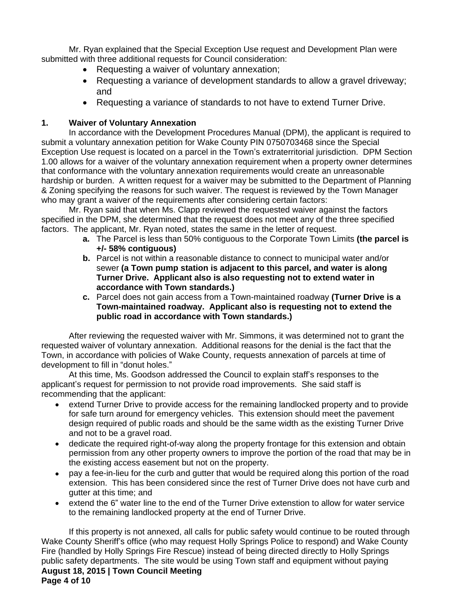Mr. Ryan explained that the Special Exception Use request and Development Plan were submitted with three additional requests for Council consideration:

- Requesting a waiver of voluntary annexation;
- Requesting a variance of development standards to allow a gravel driveway; and
- Requesting a variance of standards to not have to extend Turner Drive.

# **1. Waiver of Voluntary Annexation**

In accordance with the Development Procedures Manual (DPM), the applicant is required to submit a voluntary annexation petition for Wake County PIN 0750703468 since the Special Exception Use request is located on a parcel in the Town's extraterritorial jurisdiction. DPM Section 1.00 allows for a waiver of the voluntary annexation requirement when a property owner determines that conformance with the voluntary annexation requirements would create an unreasonable hardship or burden. A written request for a waiver may be submitted to the Department of Planning & Zoning specifying the reasons for such waiver. The request is reviewed by the Town Manager who may grant a waiver of the requirements after considering certain factors:

Mr. Ryan said that when Ms. Clapp reviewed the requested waiver against the factors specified in the DPM, she determined that the request does not meet any of the three specified factors. The applicant, Mr. Ryan noted, states the same in the letter of request.

- **a.** The Parcel is less than 50% contiguous to the Corporate Town Limits **(the parcel is +/- 58% contiguous)**
- **b.** Parcel is not within a reasonable distance to connect to municipal water and/or sewer **(a Town pump station is adjacent to this parcel, and water is along Turner Drive. Applicant also is also requesting not to extend water in accordance with Town standards.)**
- **c.** Parcel does not gain access from a Town-maintained roadway **(Turner Drive is a Town-maintained roadway. Applicant also is requesting not to extend the public road in accordance with Town standards.)**

After reviewing the requested waiver with Mr. Simmons, it was determined not to grant the requested waiver of voluntary annexation. Additional reasons for the denial is the fact that the Town, in accordance with policies of Wake County, requests annexation of parcels at time of development to fill in "donut holes."

At this time, Ms. Goodson addressed the Council to explain staff's responses to the applicant's request for permission to not provide road improvements. She said staff is recommending that the applicant:

- extend Turner Drive to provide access for the remaining landlocked property and to provide for safe turn around for emergency vehicles. This extension should meet the pavement design required of public roads and should be the same width as the existing Turner Drive and not to be a gravel road.
- dedicate the required right-of-way along the property frontage for this extension and obtain permission from any other property owners to improve the portion of the road that may be in the existing access easement but not on the property.
- pay a fee-in-lieu for the curb and gutter that would be required along this portion of the road extension. This has been considered since the rest of Turner Drive does not have curb and gutter at this time; and
- extend the 6" water line to the end of the Turner Drive extenstion to allow for water service to the remaining landlocked property at the end of Turner Drive.

**August 18, 2015 | Town Council Meeting Page 4 of 10** If this property is not annexed, all calls for public safety would continue to be routed through Wake County Sheriff's office (who may request Holly Springs Police to respond) and Wake County Fire (handled by Holly Springs Fire Rescue) instead of being directed directly to Holly Springs public safety departments. The site would be using Town staff and equipment without paying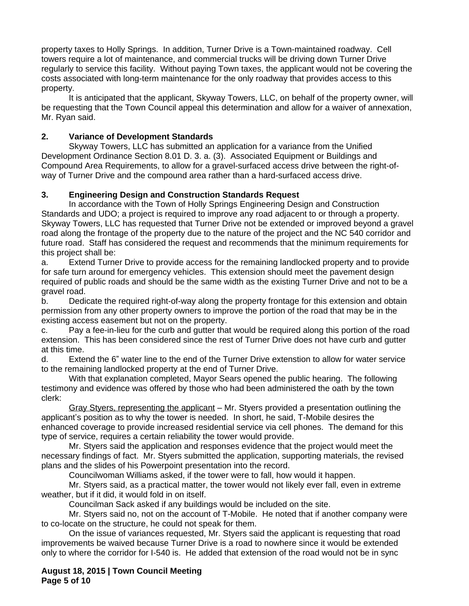property taxes to Holly Springs. In addition, Turner Drive is a Town-maintained roadway. Cell towers require a lot of maintenance, and commercial trucks will be driving down Turner Drive regularly to service this facility. Without paying Town taxes, the applicant would not be covering the costs associated with long-term maintenance for the only roadway that provides access to this property.

It is anticipated that the applicant, Skyway Towers, LLC, on behalf of the property owner, will be requesting that the Town Council appeal this determination and allow for a waiver of annexation, Mr. Ryan said.

## **2. Variance of Development Standards**

Skyway Towers, LLC has submitted an application for a variance from the Unified Development Ordinance Section 8.01 D. 3. a. (3). Associated Equipment or Buildings and Compound Area Requirements, to allow for a gravel-surfaced access drive between the right-ofway of Turner Drive and the compound area rather than a hard-surfaced access drive.

## **3. Engineering Design and Construction Standards Request**

In accordance with the Town of Holly Springs Engineering Design and Construction Standards and UDO; a project is required to improve any road adjacent to or through a property. Skyway Towers, LLC has requested that Turner Drive not be extended or improved beyond a gravel road along the frontage of the property due to the nature of the project and the NC 540 corridor and future road. Staff has considered the request and recommends that the minimum requirements for this project shall be:

a. Extend Turner Drive to provide access for the remaining landlocked property and to provide for safe turn around for emergency vehicles. This extension should meet the pavement design required of public roads and should be the same width as the existing Turner Drive and not to be a gravel road.

b. Dedicate the required right-of-way along the property frontage for this extension and obtain permission from any other property owners to improve the portion of the road that may be in the existing access easement but not on the property.

c. Pay a fee-in-lieu for the curb and gutter that would be required along this portion of the road extension. This has been considered since the rest of Turner Drive does not have curb and gutter at this time.

d. Extend the 6" water line to the end of the Turner Drive extenstion to allow for water service to the remaining landlocked property at the end of Turner Drive.

With that explanation completed, Mayor Sears opened the public hearing. The following testimony and evidence was offered by those who had been administered the oath by the town clerk:

Gray Styers, representing the applicant – Mr. Styers provided a presentation outlining the applicant's position as to why the tower is needed. In short, he said, T-Mobile desires the enhanced coverage to provide increased residential service via cell phones. The demand for this type of service, requires a certain reliability the tower would provide.

Mr. Styers said the application and responses evidence that the project would meet the necessary findings of fact. Mr. Styers submitted the application, supporting materials, the revised plans and the slides of his Powerpoint presentation into the record.

Councilwoman Williams asked, if the tower were to fall, how would it happen.

Mr. Styers said, as a practical matter, the tower would not likely ever fall, even in extreme weather, but if it did, it would fold in on itself.

Councilman Sack asked if any buildings would be included on the site.

Mr. Styers said no, not on the account of T-Mobile. He noted that if another company were to co-locate on the structure, he could not speak for them.

On the issue of variances requested, Mr. Styers said the applicant is requesting that road improvements be waived because Turner Drive is a road to nowhere since it would be extended only to where the corridor for I-540 is. He added that extension of the road would not be in sync

**August 18, 2015 | Town Council Meeting Page 5 of 10**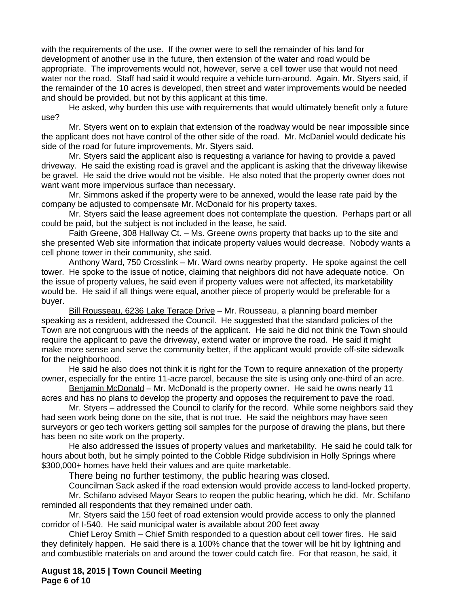with the requirements of the use. If the owner were to sell the remainder of his land for development of another use in the future, then extension of the water and road would be appropriate. The improvements would not, however, serve a cell tower use that would not need water nor the road. Staff had said it would require a vehicle turn-around. Again, Mr. Styers said, if the remainder of the 10 acres is developed, then street and water improvements would be needed and should be provided, but not by this applicant at this time.

He asked, why burden this use with requirements that would ultimately benefit only a future use?

Mr. Styers went on to explain that extension of the roadway would be near impossible since the applicant does not have control of the other side of the road. Mr. McDaniel would dedicate his side of the road for future improvements, Mr. Styers said.

Mr. Styers said the applicant also is requesting a variance for having to provide a paved driveway. He said the existing road is gravel and the applicant is asking that the driveway likewise be gravel. He said the drive would not be visible. He also noted that the property owner does not want want more impervious surface than necessary.

Mr. Simmons asked if the property were to be annexed, would the lease rate paid by the company be adjusted to compensate Mr. McDonald for his property taxes.

Mr. Styers said the lease agreement does not contemplate the question. Perhaps part or all could be paid, but the subject is not included in the lease, he said.

Faith Greene, 308 Hallway Ct. – Ms. Greene owns property that backs up to the site and she presented Web site information that indicate property values would decrease. Nobody wants a cell phone tower in their community, she said.

Anthony Ward, 750 Crosslink – Mr. Ward owns nearby property. He spoke against the cell tower. He spoke to the issue of notice, claiming that neighbors did not have adequate notice. On the issue of property values, he said even if property values were not affected, its marketability would be. He said if all things were equal, another piece of property would be preferable for a buyer.

Bill Rousseau, 6236 Lake Terace Drive - Mr. Rousseau, a planning board member speaking as a resident, addressed the Council. He suggested that the standard policies of the Town are not congruous with the needs of the applicant. He said he did not think the Town should require the applicant to pave the driveway, extend water or improve the road. He said it might make more sense and serve the community better, if the applicant would provide off-site sidewalk for the neighborhood.

He said he also does not think it is right for the Town to require annexation of the property owner, especially for the entire 11-acre parcel, because the site is using only one-third of an acre.

Benjamin McDonald – Mr. McDonald is the property owner. He said he owns nearly 11 acres and has no plans to develop the property and opposes the requirement to pave the road.

Mr. Styers – addressed the Council to clarify for the record. While some neighbors said they had seen work being done on the site, that is not true. He said the neighbors may have seen surveyors or geo tech workers getting soil samples for the purpose of drawing the plans, but there has been no site work on the property.

He also addressed the issues of property values and marketability. He said he could talk for hours about both, but he simply pointed to the Cobble Ridge subdivision in Holly Springs where \$300,000+ homes have held their values and are quite marketable.

There being no further testimony, the public hearing was closed.

Councilman Sack asked if the road extension would provide access to land-locked property. Mr. Schifano advised Mayor Sears to reopen the public hearing, which he did. Mr. Schifano reminded all respondents that they remained under oath.

Mr. Styers said the 150 feet of road extension would provide access to only the planned corridor of I-540. He said municipal water is available about 200 feet away

Chief Leroy Smith - Chief Smith responded to a question about cell tower fires. He said they definitely happen. He said there is a 100% chance that the tower will be hit by lightning and and combustible materials on and around the tower could catch fire. For that reason, he said, it

**August 18, 2015 | Town Council Meeting Page 6 of 10**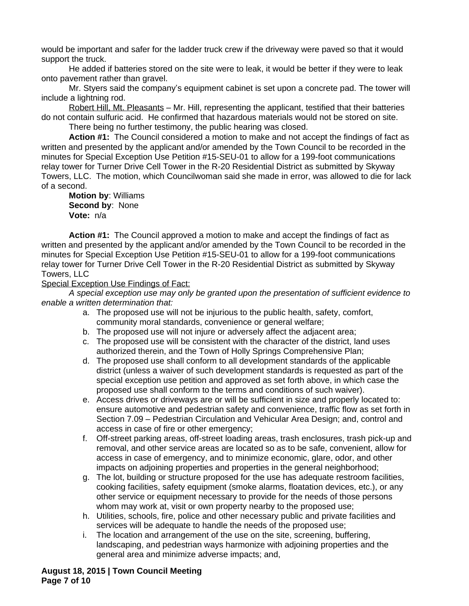would be important and safer for the ladder truck crew if the driveway were paved so that it would support the truck.

He added if batteries stored on the site were to leak, it would be better if they were to leak onto pavement rather than gravel.

Mr. Styers said the company's equipment cabinet is set upon a concrete pad. The tower will include a lightning rod.

Robert Hill, Mt. Pleasants – Mr. Hill, representing the applicant, testified that their batteries do not contain sulfuric acid. He confirmed that hazardous materials would not be stored on site.

There being no further testimony, the public hearing was closed.

**Action #1:** The Council considered a motion to make and not accept the findings of fact as written and presented by the applicant and/or amended by the Town Council to be recorded in the minutes for Special Exception Use Petition #15-SEU-01 to allow for a 199-foot communications relay tower for Turner Drive Cell Tower in the R-20 Residential District as submitted by Skyway Towers, LLC. The motion, which Councilwoman said she made in error, was allowed to die for lack of a second.

**Motion by**: Williams **Second by**: None **Vote:** n/a

**Action #1:** The Council approved a motion to make and accept the findings of fact as written and presented by the applicant and/or amended by the Town Council to be recorded in the minutes for Special Exception Use Petition #15-SEU-01 to allow for a 199-foot communications relay tower for Turner Drive Cell Tower in the R-20 Residential District as submitted by Skyway Towers, LLC

Special Exception Use Findings of Fact:

*A special exception use may only be granted upon the presentation of sufficient evidence to enable a written determination that:*

- a. The proposed use will not be injurious to the public health, safety, comfort, community moral standards, convenience or general welfare;
- b. The proposed use will not injure or adversely affect the adjacent area;
- c. The proposed use will be consistent with the character of the district, land uses authorized therein, and the Town of Holly Springs Comprehensive Plan;
- d. The proposed use shall conform to all development standards of the applicable district (unless a waiver of such development standards is requested as part of the special exception use petition and approved as set forth above, in which case the proposed use shall conform to the terms and conditions of such waiver).
- e. Access drives or driveways are or will be sufficient in size and properly located to: ensure automotive and pedestrian safety and convenience, traffic flow as set forth in Section 7.09 – Pedestrian Circulation and Vehicular Area Design; and, control and access in case of fire or other emergency;
- f. Off-street parking areas, off-street loading areas, trash enclosures, trash pick-up and removal, and other service areas are located so as to be safe, convenient, allow for access in case of emergency, and to minimize economic, glare, odor, and other impacts on adjoining properties and properties in the general neighborhood;
- g. The lot, building or structure proposed for the use has adequate restroom facilities, cooking facilities, safety equipment (smoke alarms, floatation devices, etc.), or any other service or equipment necessary to provide for the needs of those persons whom may work at, visit or own property nearby to the proposed use;
- h. Utilities, schools, fire, police and other necessary public and private facilities and services will be adequate to handle the needs of the proposed use;
- i. The location and arrangement of the use on the site, screening, buffering, landscaping, and pedestrian ways harmonize with adjoining properties and the general area and minimize adverse impacts; and,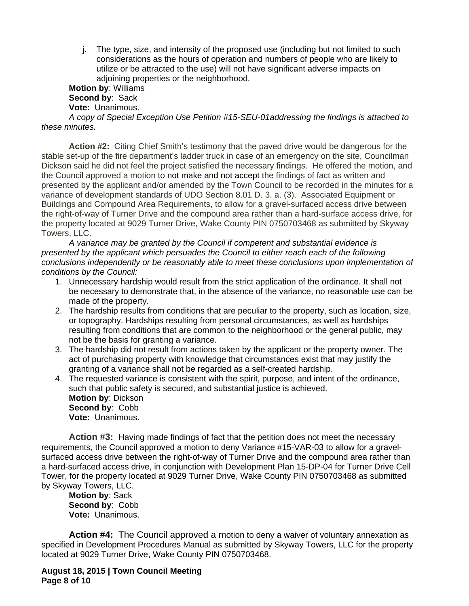j. The type, size, and intensity of the proposed use (including but not limited to such considerations as the hours of operation and numbers of people who are likely to utilize or be attracted to the use) will not have significant adverse impacts on adjoining properties or the neighborhood.

**Motion by**: Williams **Second by**: Sack **Vote:** Unanimous.

*A copy of Special Exception Use Petition #15-SEU-01addressing the findings is attached to these minutes.* 

**Action #2:** Citing Chief Smith's testimony that the paved drive would be dangerous for the stable set-up of the fire department's ladder truck in case of an emergency on the site, Councilman Dickson said he did not feel the project satisfied the necessary findings. He offered the motion, and the Council approved a motion to not make and not accept the findings of fact as written and presented by the applicant and/or amended by the Town Council to be recorded in the minutes for a variance of development standards of UDO Section 8.01 D. 3. a. (3). Associated Equipment or Buildings and Compound Area Requirements, to allow for a gravel-surfaced access drive between the right-of-way of Turner Drive and the compound area rather than a hard-surface access drive, for the property located at 9029 Turner Drive, Wake County PIN 0750703468 as submitted by Skyway Towers, LLC.

*A variance may be granted by the Council if competent and substantial evidence is presented by the applicant which persuades the Council to either reach each of the following conclusions independently or be reasonably able to meet these conclusions upon implementation of conditions by the Council:*

- 1. Unnecessary hardship would result from the strict application of the ordinance. It shall not be necessary to demonstrate that, in the absence of the variance, no reasonable use can be made of the property.
- 2. The hardship results from conditions that are peculiar to the property, such as location, size, or topography. Hardships resulting from personal circumstances, as well as hardships resulting from conditions that are common to the neighborhood or the general public, may not be the basis for granting a variance.
- 3. The hardship did not result from actions taken by the applicant or the property owner. The act of purchasing property with knowledge that circumstances exist that may justify the granting of a variance shall not be regarded as a self-created hardship.
- 4. The requested variance is consistent with the spirit, purpose, and intent of the ordinance, such that public safety is secured, and substantial justice is achieved. **Motion by**: Dickson **Second by**: Cobb **Vote:** Unanimous.

**Action #3:** Having made findings of fact that the petition does not meet the necessary requirements, the Council approved a motion to deny Variance #15-VAR-03 to allow for a gravelsurfaced access drive between the right-of-way of Turner Drive and the compound area rather than a hard-surfaced access drive, in conjunction with Development Plan 15-DP-04 for Turner Drive Cell Tower, for the property located at 9029 Turner Drive, Wake County PIN 0750703468 as submitted by Skyway Towers, LLC.

**Motion by**: Sack **Second by**: Cobb **Vote:** Unanimous.

**Action #4:** The Council approved a motion to deny a waiver of voluntary annexation as specified in Development Procedures Manual as submitted by Skyway Towers, LLC for the property located at 9029 Turner Drive, Wake County PIN 0750703468.

**August 18, 2015 | Town Council Meeting Page 8 of 10**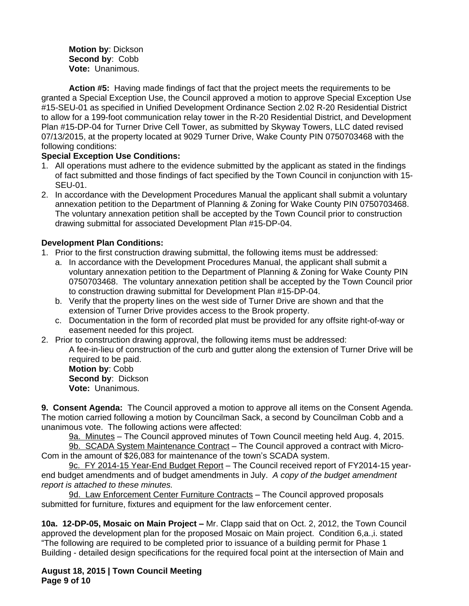**Motion by**: Dickson **Second by**: Cobb **Vote:** Unanimous.

**Action #5:** Having made findings of fact that the project meets the requirements to be granted a Special Exception Use, the Council approved a motion to approve Special Exception Use #15-SEU-01 as specified in Unified Development Ordinance Section 2.02 R-20 Residential District to allow for a 199-foot communication relay tower in the R-20 Residential District, and Development Plan #15-DP-04 for Turner Drive Cell Tower, as submitted by Skyway Towers, LLC dated revised 07/13/2015, at the property located at 9029 Turner Drive, Wake County PIN 0750703468 with the following conditions:

## **Special Exception Use Conditions:**

- 1. All operations must adhere to the evidence submitted by the applicant as stated in the findings of fact submitted and those findings of fact specified by the Town Council in conjunction with 15- SEU-01.
- 2. In accordance with the Development Procedures Manual the applicant shall submit a voluntary annexation petition to the Department of Planning & Zoning for Wake County PIN 0750703468. The voluntary annexation petition shall be accepted by the Town Council prior to construction drawing submittal for associated Development Plan #15-DP-04.

## **Development Plan Conditions:**

- 1. Prior to the first construction drawing submittal, the following items must be addressed:
	- a. In accordance with the Development Procedures Manual, the applicant shall submit a voluntary annexation petition to the Department of Planning & Zoning for Wake County PIN 0750703468. The voluntary annexation petition shall be accepted by the Town Council prior to construction drawing submittal for Development Plan #15-DP-04.
	- b. Verify that the property lines on the west side of Turner Drive are shown and that the extension of Turner Drive provides access to the Brook property.
	- c. Documentation in the form of recorded plat must be provided for any offsite right-of-way or easement needed for this project.
- 2. Prior to construction drawing approval, the following items must be addressed:
	- A fee-in-lieu of construction of the curb and gutter along the extension of Turner Drive will be required to be paid.

**Motion by**: Cobb **Second by**: Dickson **Vote:** Unanimous.

**9. Consent Agenda:** The Council approved a motion to approve all items on the Consent Agenda. The motion carried following a motion by Councilman Sack, a second by Councilman Cobb and a unanimous vote. The following actions were affected:

9a. Minutes – The Council approved minutes of Town Council meeting held Aug. 4, 2015.

9b. SCADA System Maintenance Contract – The Council approved a contract with Micro-Com in the amount of \$26,083 for maintenance of the town's SCADA system.

9c. FY 2014-15 Year-End Budget Report – The Council received report of FY2014-15 yearend budget amendments and of budget amendments in July. *A copy of the budget amendment report is attached to these minutes.*

9d. Law Enforcement Center Furniture Contracts – The Council approved proposals submitted for furniture, fixtures and equipment for the law enforcement center.

**10a. 12-DP-05, Mosaic on Main Project –** Mr. Clapp said that on Oct. 2, 2012, the Town Council approved the development plan for the proposed Mosaic on Main project. Condition 6,a.,i. stated "The following are required to be completed prior to issuance of a building permit for Phase 1 Building - detailed design specifications for the required focal point at the intersection of Main and

**August 18, 2015 | Town Council Meeting Page 9 of 10**